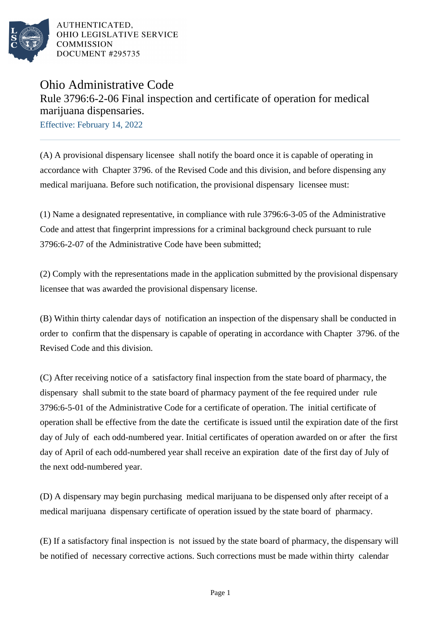

AUTHENTICATED. OHIO LEGISLATIVE SERVICE **COMMISSION** DOCUMENT #295735

## Ohio Administrative Code Rule 3796:6-2-06 Final inspection and certificate of operation for medical marijuana dispensaries.

Effective: February 14, 2022

(A) A provisional dispensary licensee shall notify the board once it is capable of operating in accordance with Chapter 3796. of the Revised Code and this division, and before dispensing any medical marijuana. Before such notification, the provisional dispensary licensee must:

(1) Name a designated representative, in compliance with rule 3796:6-3-05 of the Administrative Code and attest that fingerprint impressions for a criminal background check pursuant to rule 3796:6-2-07 of the Administrative Code have been submitted:

(2) Comply with the representations made in the application submitted by the provisional dispensary licensee that was awarded the provisional dispensary license.

(B) Within thirty calendar days of notification an inspection of the dispensary shall be conducted in order to confirm that the dispensary is capable of operating in accordance with Chapter 3796. of the Revised Code and this division.

(C) After receiving notice of a satisfactory final inspection from the state board of pharmacy, the dispensary shall submit to the state board of pharmacy payment of the fee required under rule 3796:6-5-01 of the Administrative Code for a certificate of operation. The initial certificate of operation shall be effective from the date the certificate is issued until the expiration date of the first day of July of each odd-numbered year. Initial certificates of operation awarded on or after the first day of April of each odd-numbered year shall receive an expiration date of the first day of July of the next odd-numbered year.

(D) A dispensary may begin purchasing medical marijuana to be dispensed only after receipt of a medical marijuana dispensary certificate of operation issued by the state board of pharmacy.

(E) If a satisfactory final inspection is not issued by the state board of pharmacy, the dispensary will be notified of necessary corrective actions. Such corrections must be made within thirty calendar